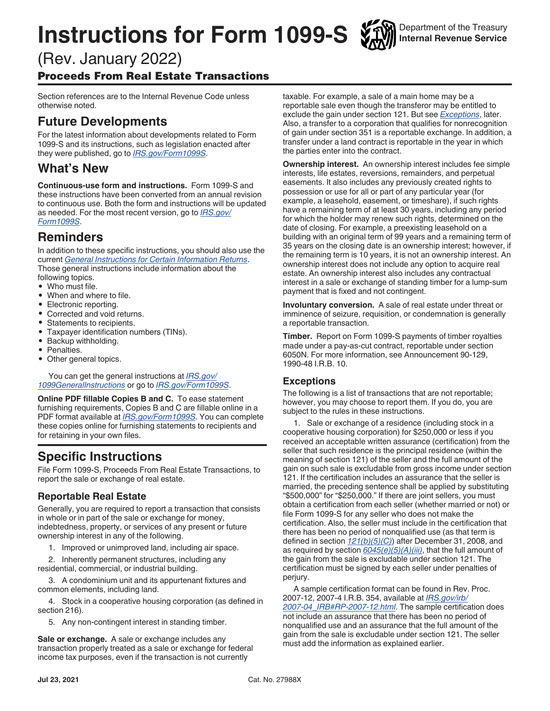# <span id="page-0-0"></span>**Instructions for Form 1099-S**

# (Rev. January 2022)

Proceeds From Real Estate Transactions

Section references are to the Internal Revenue Code unless otherwise noted.

# **Future Developments**

For the latest information about developments related to Form 1099-S and its instructions, such as legislation enacted after they were published, go to *[IRS.gov/Form1099S](https://www.irs.gov/form1099s)*.

# **What's New**

**Continuous-use form and instructions.** Form 1099-S and these instructions have been converted from an annual revision to continuous use. Both the form and instructions will be updated as needed. For the most recent version, go to *[IRS.gov/](https://www.irs.gov/Form1099S) [Form1099S](https://www.irs.gov/Form1099S)*.

# **Reminders**

In addition to these specific instructions, you should also use the current *[General Instructions for Certain Information Returns](https://www.irs.gov/Forms-Pubs/about-form-1099)*. Those general instructions include information about the following topics.

- Who must file.
- When and where to file.
- Electronic reporting.
- Corrected and void returns.
- Statements to recipients.
- Taxpayer identification numbers (TINs).
- Backup withholding.
- Penalties.
- Other general topics.

You can get the general instructions at *[IRS.gov/](https://www.irs.gov/Forms-Pubs/about-form-1099) [1099GeneralInstructions](https://www.irs.gov/Forms-Pubs/about-form-1099)* or go to *[IRS.gov/Form1099S](https://www.irs.gov/form1099s)*.

**Online PDF fillable Copies B and C.** To ease statement furnishing requirements, Copies B and C are fillable online in a PDF format available at *[IRS.gov/Form1099S](https://www.irs.gov/form1099s)*. You can complete these copies online for furnishing statements to recipients and for retaining in your own files.

# **Specific Instructions**

File Form 1099-S, Proceeds From Real Estate Transactions, to report the sale or exchange of real estate.

# **Reportable Real Estate**

Generally, you are required to report a transaction that consists in whole or in part of the sale or exchange for money, indebtedness, property, or services of any present or future ownership interest in any of the following.

1. Improved or unimproved land, including air space.

2. Inherently permanent structures, including any residential, commercial, or industrial building.

3. A condominium unit and its appurtenant fixtures and common elements, including land.

4. Stock in a cooperative housing corporation (as defined in section 216).

5. Any non-contingent interest in standing timber.

**Sale or exchange.** A sale or exchange includes any transaction properly treated as a sale or exchange for federal income tax purposes, even if the transaction is not currently

taxable. For example, a sale of a main home may be a reportable sale even though the transferor may be entitled to exclude the gain under section 121. But see *Exceptions*, later. Also, a transfer to a corporation that qualifies for nonrecognition of gain under section 351 is a reportable exchange. In addition, a transfer under a land contract is reportable in the year in which the parties enter into the contract.

**Ownership interest.** An ownership interest includes fee simple interests, life estates, reversions, remainders, and perpetual easements. It also includes any previously created rights to possession or use for all or part of any particular year (for example, a leasehold, easement, or timeshare), if such rights have a remaining term of at least 30 years, including any period for which the holder may renew such rights, determined on the date of closing. For example, a preexisting leasehold on a building with an original term of 99 years and a remaining term of 35 years on the closing date is an ownership interest; however, if the remaining term is 10 years, it is not an ownership interest. An ownership interest does not include any option to acquire real estate. An ownership interest also includes any contractual interest in a sale or exchange of standing timber for a lump-sum payment that is fixed and not contingent.

**Involuntary conversion.** A sale of real estate under threat or imminence of seizure, requisition, or condemnation is generally a reportable transaction.

**Timber.** Report on Form 1099-S payments of timber royalties made under a pay-as-cut contract, reportable under section 6050N. For more information, see Announcement 90-129, 1990-48 I.R.B. 10.

# **Exceptions**

The following is a list of transactions that are not reportable; however, you may choose to report them. If you do, you are subject to the rules in these instructions.

1. Sale or exchange of a residence (including stock in a cooperative housing corporation) for \$250,000 or less if you received an acceptable written assurance (certification) from the seller that such residence is the principal residence (within the meaning of section 121) of the seller and the full amount of the gain on such sale is excludable from gross income under section 121. If the certification includes an assurance that the seller is married, the preceding sentence shall be applied by substituting "\$500,000" for "\$250,000." If there are joint sellers, you must obtain a certification from each seller (whether married or not) or file Form 1099-S for any seller who does not make the certification. Also, the seller must include in the certification that there has been no period of nonqualified use (as that term is defined in section *[121\(b\)\(5\)\(C\)](https://uscode.house.gov/view.xhtml?req=granuleid:USC-prelim-title26-section121&num=0&edition=prelim)*) after December 31, 2008, and as required by section *[6045\(e\)\(5\)\(A\)\(iii\)](https://uscode.house.gov/view.xhtml?req=granuleid:USC-prelim-title26-section6045&num=0&edition=prelim)*, that the full amount of the gain from the sale is excludable under section 121. The certification must be signed by each seller under penalties of perjury.

A sample certification format can be found in Rev. Proc. 2007-12, 2007-4 I.R.B. 354, available at *[IRS.gov/irb/](https://www.irs.gov/irb/2007-04_IRB#RP-2007-12) [2007-04\\_IRB#RP-2007-12.html](https://www.irs.gov/irb/2007-04_IRB#RP-2007-12)*. The sample certification does not include an assurance that there has been no period of nonqualified use and an assurance that the full amount of the gain from the sale is excludable under section 121. The seller must add the information as explained earlier.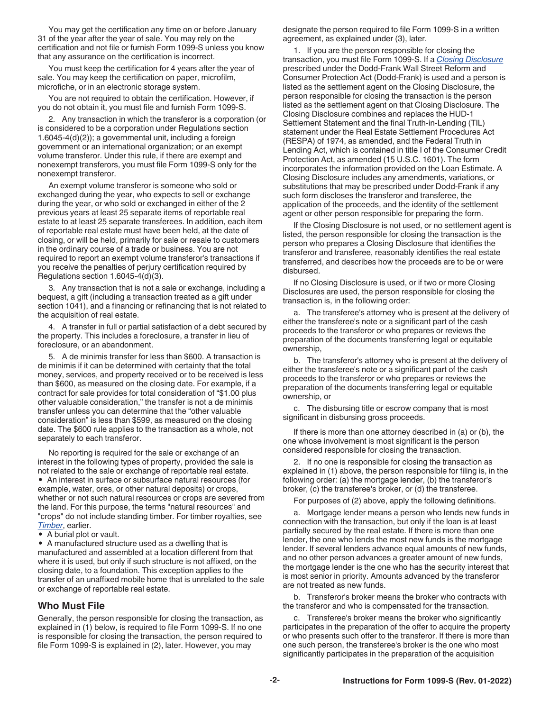<span id="page-1-0"></span>You may get the certification any time on or before January 31 of the year after the year of sale. You may rely on the certification and not file or furnish Form 1099-S unless you know that any assurance on the certification is incorrect.

You must keep the certification for 4 years after the year of sale. You may keep the certification on paper, microfilm, microfiche, or in an electronic storage system.

You are not required to obtain the certification. However, if you do not obtain it, you must file and furnish Form 1099-S.

2. Any transaction in which the transferor is a corporation (or is considered to be a corporation under Regulations section 1.6045-4(d)(2)); a governmental unit, including a foreign government or an international organization; or an exempt volume transferor. Under this rule, if there are exempt and nonexempt transferors, you must file Form 1099-S only for the nonexempt transferor.

An exempt volume transferor is someone who sold or exchanged during the year, who expects to sell or exchange during the year, or who sold or exchanged in either of the 2 previous years at least 25 separate items of reportable real estate to at least 25 separate transferees. In addition, each item of reportable real estate must have been held, at the date of closing, or will be held, primarily for sale or resale to customers in the ordinary course of a trade or business. You are not required to report an exempt volume transferor's transactions if you receive the penalties of perjury certification required by Regulations section 1.6045-4(d)(3).

3. Any transaction that is not a sale or exchange, including a bequest, a gift (including a transaction treated as a gift under section 1041), and a financing or refinancing that is not related to the acquisition of real estate.

4. A transfer in full or partial satisfaction of a debt secured by the property. This includes a foreclosure, a transfer in lieu of foreclosure, or an abandonment.

5. A de minimis transfer for less than \$600. A transaction is de minimis if it can be determined with certainty that the total money, services, and property received or to be received is less than \$600, as measured on the closing date. For example, if a contract for sale provides for total consideration of "\$1.00 plus other valuable consideration," the transfer is not a de minimis transfer unless you can determine that the "other valuable consideration" is less than \$599, as measured on the closing date. The \$600 rule applies to the transaction as a whole, not separately to each transferor.

No reporting is required for the sale or exchange of an interest in the following types of property, provided the sale is not related to the sale or exchange of reportable real estate.

• An interest in surface or subsurface natural resources (for example, water, ores, or other natural deposits) or crops, whether or not such natural resources or crops are severed from the land. For this purpose, the terms "natural resources" and "crops" do not include standing timber. For timber royalties, see *[Timber](#page-0-0)*, earlier.

• A burial plot or vault.

• A manufactured structure used as a dwelling that is manufactured and assembled at a location different from that where it is used, but only if such structure is not affixed, on the closing date, to a foundation. This exception applies to the transfer of an unaffixed mobile home that is unrelated to the sale or exchange of reportable real estate.

#### **Who Must File**

Generally, the person responsible for closing the transaction, as explained in (1) below, is required to file Form 1099-S. If no one is responsible for closing the transaction, the person required to file Form 1099-S is explained in (2), later. However, you may

designate the person required to file Form 1099-S in a written agreement, as explained under (3), later.

1. If you are the person responsible for closing the transaction, you must file Form 1099-S. If a *[Closing Disclosure](https://www.consumerfinance.gov/policy-compliance/know-you-owe-mortgages/settlement-professionals-guide/)*  prescribed under the Dodd-Frank Wall Street Reform and Consumer Protection Act (Dodd-Frank) is used and a person is listed as the settlement agent on the Closing Disclosure, the person responsible for closing the transaction is the person listed as the settlement agent on that Closing Disclosure. The Closing Disclosure combines and replaces the HUD-1 Settlement Statement and the final Truth-in-Lending (TIL) statement under the Real Estate Settlement Procedures Act (RESPA) of 1974, as amended, and the Federal Truth in Lending Act, which is contained in title I of the Consumer Credit Protection Act, as amended (15 U.S.C. 1601). The form incorporates the information provided on the Loan Estimate. A Closing Disclosure includes any amendments, variations, or substitutions that may be prescribed under Dodd-Frank if any such form discloses the transferor and transferee, the application of the proceeds, and the identity of the settlement agent or other person responsible for preparing the form.

If the Closing Disclosure is not used, or no settlement agent is listed, the person responsible for closing the transaction is the person who prepares a Closing Disclosure that identifies the transferor and transferee, reasonably identifies the real estate transferred, and describes how the proceeds are to be or were disbursed.

If no Closing Disclosure is used, or if two or more Closing Disclosures are used, the person responsible for closing the transaction is, in the following order:

a. The transferee's attorney who is present at the delivery of either the transferee's note or a significant part of the cash proceeds to the transferor or who prepares or reviews the preparation of the documents transferring legal or equitable ownership,

b. The transferor's attorney who is present at the delivery of either the transferee's note or a significant part of the cash proceeds to the transferor or who prepares or reviews the preparation of the documents transferring legal or equitable ownership, or

c. The disbursing title or escrow company that is most significant in disbursing gross proceeds.

If there is more than one attorney described in (a) or (b), the one whose involvement is most significant is the person considered responsible for closing the transaction.

2. If no one is responsible for closing the transaction as explained in (1) above, the person responsible for filing is, in the following order: (a) the mortgage lender, (b) the transferor's broker, (c) the transferee's broker, or (d) the transferee.

For purposes of (2) above, apply the following definitions.

a. Mortgage lender means a person who lends new funds in connection with the transaction, but only if the loan is at least partially secured by the real estate. If there is more than one lender, the one who lends the most new funds is the mortgage lender. If several lenders advance equal amounts of new funds, and no other person advances a greater amount of new funds, the mortgage lender is the one who has the security interest that is most senior in priority. Amounts advanced by the transferor are not treated as new funds.

b. Transferor's broker means the broker who contracts with the transferor and who is compensated for the transaction.

c. Transferee's broker means the broker who significantly participates in the preparation of the offer to acquire the property or who presents such offer to the transferor. If there is more than one such person, the transferee's broker is the one who most significantly participates in the preparation of the acquisition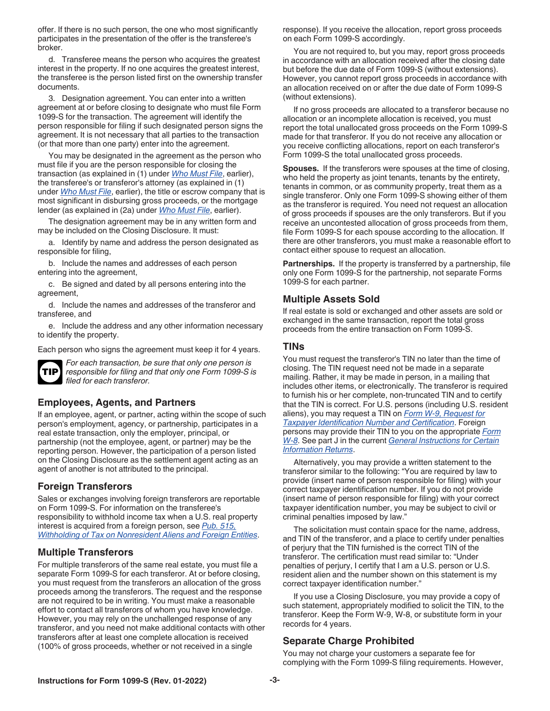<span id="page-2-0"></span>offer. If there is no such person, the one who most significantly participates in the presentation of the offer is the transferee's broker.

d. Transferee means the person who acquires the greatest interest in the property. If no one acquires the greatest interest, the transferee is the person listed first on the ownership transfer documents.

3. Designation agreement. You can enter into a written agreement at or before closing to designate who must file Form 1099-S for the transaction. The agreement will identify the person responsible for filing if such designated person signs the agreement. It is not necessary that all parties to the transaction (or that more than one party) enter into the agreement.

You may be designated in the agreement as the person who must file if you are the person responsible for closing the transaction (as explained in (1) under *[Who Must File](#page-1-0)*, earlier), the transferee's or transferor's attorney (as explained in (1) under *[Who Must File](#page-1-0)*, earlier), the title or escrow company that is most significant in disbursing gross proceeds, or the mortgage lender (as explained in (2a) under *[Who Must File](#page-1-0)*, earlier).

The designation agreement may be in any written form and may be included on the Closing Disclosure. It must:

a. Identify by name and address the person designated as responsible for filing,

b. Include the names and addresses of each person entering into the agreement,

c. Be signed and dated by all persons entering into the agreement,

d. Include the names and addresses of the transferor and transferee, and

e. Include the address and any other information necessary to identify the property.

Each person who signs the agreement must keep it for 4 years.



*For each transaction, be sure that only one person is responsible for filing and that only one Form 1099-S is filed for each transferor.*

#### **Employees, Agents, and Partners**

If an employee, agent, or partner, acting within the scope of such person's employment, agency, or partnership, participates in a real estate transaction, only the employer, principal, or partnership (not the employee, agent, or partner) may be the reporting person. However, the participation of a person listed on the Closing Disclosure as the settlement agent acting as an agent of another is not attributed to the principal.

#### **Foreign Transferors**

Sales or exchanges involving foreign transferors are reportable on Form 1099-S. For information on the transferee's responsibility to withhold income tax when a U.S. real property interest is acquired from a foreign person, see *[Pub. 515,](https://www.irs.gov/publications/p515/index.html)  [Withholding of Tax on Nonresident Aliens and Foreign Entities](https://www.irs.gov/publications/p515/index.html)*.

#### **Multiple Transferors**

For multiple transferors of the same real estate, you must file a separate Form 1099-S for each transferor. At or before closing, you must request from the transferors an allocation of the gross proceeds among the transferors. The request and the response are not required to be in writing. You must make a reasonable effort to contact all transferors of whom you have knowledge. However, you may rely on the unchallenged response of any transferor, and you need not make additional contacts with other transferors after at least one complete allocation is received (100% of gross proceeds, whether or not received in a single

response). If you receive the allocation, report gross proceeds on each Form 1099-S accordingly.

You are not required to, but you may, report gross proceeds in accordance with an allocation received after the closing date but before the due date of Form 1099-S (without extensions). However, you cannot report gross proceeds in accordance with an allocation received on or after the due date of Form 1099-S (without extensions).

If no gross proceeds are allocated to a transferor because no allocation or an incomplete allocation is received, you must report the total unallocated gross proceeds on the Form 1099-S made for that transferor. If you do not receive any allocation or you receive conflicting allocations, report on each transferor's Form 1099-S the total unallocated gross proceeds.

**Spouses.** If the transferors were spouses at the time of closing, who held the property as joint tenants, tenants by the entirety, tenants in common, or as community property, treat them as a single transferor. Only one Form 1099-S showing either of them as the transferor is required. You need not request an allocation of gross proceeds if spouses are the only transferors. But if you receive an uncontested allocation of gross proceeds from them, file Form 1099-S for each spouse according to the allocation. If there are other transferors, you must make a reasonable effort to contact either spouse to request an allocation.

**Partnerships.** If the property is transferred by a partnership, file only one Form 1099-S for the partnership, not separate Forms 1099-S for each partner.

#### **Multiple Assets Sold**

If real estate is sold or exchanged and other assets are sold or exchanged in the same transaction, report the total gross proceeds from the entire transaction on Form 1099-S.

#### **TINs**

You must request the transferor's TIN no later than the time of closing. The TIN request need not be made in a separate mailing. Rather, it may be made in person, in a mailing that includes other items, or electronically. The transferor is required to furnish his or her complete, non-truncated TIN and to certify that the TIN is correct. For U.S. persons (including U.S. resident aliens), you may request a TIN on *[Form W-9, Request for](https://www.irs.gov/pub/irs-pdf/fw9.pdf) [Taxpayer Identification Number and Certification](https://www.irs.gov/pub/irs-pdf/fw9.pdf)*. Foreign persons may provide their TIN to you on the appropriate *[Form](https://www.irs.gov/uac/about-form-w8)  [W-8](https://www.irs.gov/uac/about-form-w8)*. See part J in the current *[General Instructions for Certain](https://www.irs.gov/forms-pubs/about-form-1099)  [Information Returns](https://www.irs.gov/forms-pubs/about-form-1099)*.

Alternatively, you may provide a written statement to the transferor similar to the following: "You are required by law to provide (insert name of person responsible for filing) with your correct taxpayer identification number. If you do not provide (insert name of person responsible for filing) with your correct taxpayer identification number, you may be subject to civil or criminal penalties imposed by law."

The solicitation must contain space for the name, address, and TIN of the transferor, and a place to certify under penalties of perjury that the TIN furnished is the correct TIN of the transferor. The certification must read similar to: "Under penalties of perjury, I certify that I am a U.S. person or U.S. resident alien and the number shown on this statement is my correct taxpayer identification number."

If you use a Closing Disclosure, you may provide a copy of such statement, appropriately modified to solicit the TIN, to the transferor. Keep the Form W-9, W-8, or substitute form in your records for 4 years.

#### **Separate Charge Prohibited**

You may not charge your customers a separate fee for complying with the Form 1099-S filing requirements. However,